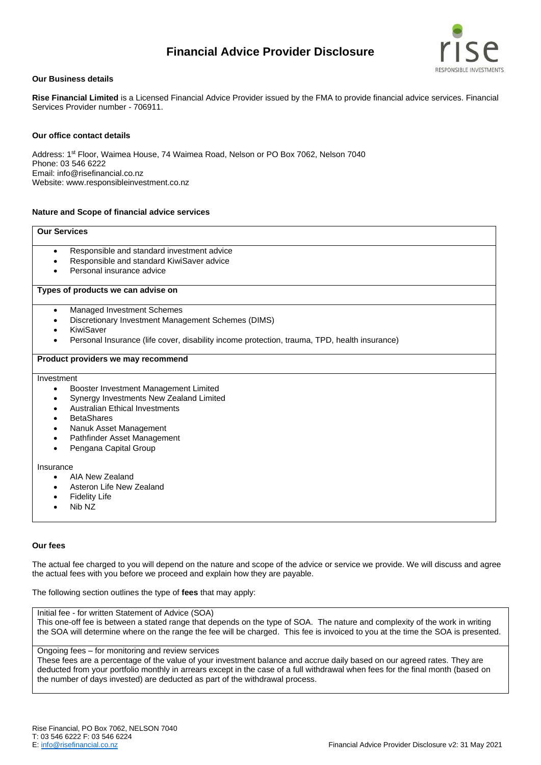# **Financial Advice Provider Disclosure**



## **Our Business details**

**Rise Financial Limited** is a Licensed Financial Advice Provider issued by the FMA to provide financial advice services. Financial Services Provider number - 706911.

## **Our office contact details**

Address: 1st Floor, Waimea House, 74 Waimea Road, Nelson or PO Box 7062, Nelson 7040 Phone: 03 546 6222 Email: info@risefinancial.co.nz Website: www.responsibleinvestment.co.nz

## **Nature and Scope of financial advice services**

#### **Our Services**

- Responsible and standard investment advice
- Responsible and standard KiwiSaver advice
- Personal insurance advice

#### **Types of products we can advise on**

- Managed Investment Schemes
- Discretionary Investment Management Schemes (DIMS)
- KiwiSaver
- Personal Insurance (life cover, disability income protection, trauma, TPD, health insurance)

#### **Product providers we may recommend**

Investment

- Booster Investment Management Limited
- Synergy Investments New Zealand Limited
- Australian Ethical Investments
- **BetaShares**
- Nanuk Asset Management
- Pathfinder Asset Management
- Pengana Capital Group

#### Insurance

- AIA New Zealand
- Asteron Life New Zealand
- **Fidelity Life**
- Nib NZ

## **Our fees**

The actual fee charged to you will depend on the nature and scope of the advice or service we provide. We will discuss and agree the actual fees with you before we proceed and explain how they are payable.

The following section outlines the type of **fees** that may apply:

#### Initial fee - for written Statement of Advice (SOA)

This one-off fee is between a stated range that depends on the type of SOA. The nature and complexity of the work in writing the SOA will determine where on the range the fee will be charged. This fee is invoiced to you at the time the SOA is presented.

# Ongoing fees – for monitoring and review services

These fees are a percentage of the value of your investment balance and accrue daily based on our agreed rates. They are deducted from your portfolio monthly in arrears except in the case of a full withdrawal when fees for the final month (based on the number of days invested) are deducted as part of the withdrawal process.